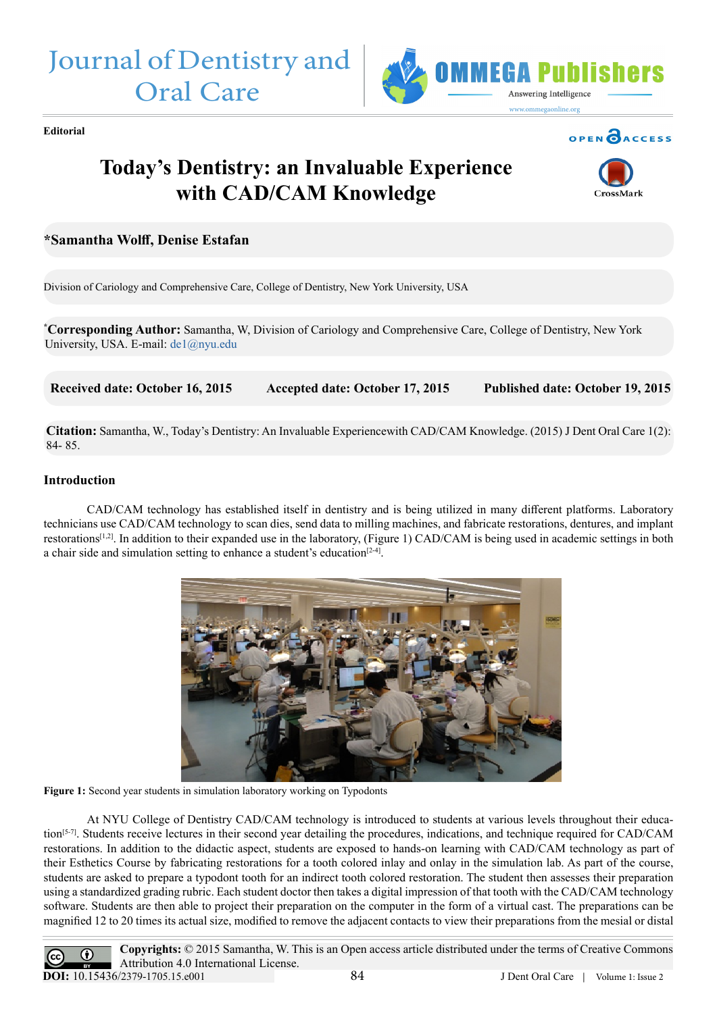



**Editorial**

# OPEN CACCESS

# **Today's Dentistry: an Invaluable Experience with CAD/CAM Knowledge**



## **\*Samantha Wolff, Denise Estafan**

Division of Cariology and Comprehensive Care, College of Dentistry, New York University, USA

**\* Corresponding Author:** Samantha, W, Division of Cariology and Comprehensive Care, College of Dentistry, New York University, USA. E-mail: [de1@nyu.edu](mailto:de1%40nyu.edu?subject=)

 **Received date: October 16, 2015 Accepted date: October 17, 2015 Published date: October 19, 2015**

**Citation:** Samantha, W., Today's Dentistry: An Invaluable Experiencewith CAD/CAM Knowledge. (2015) J Dent Oral Care 1(2): 84- 85.

### **Introduction**

 CAD/CAM technology has established itself in dentistry and is being utilized in many different platforms. Laboratory technicians use CAD/CAM technology to scan dies, send data to milling machines, and fabricate restorations, dentures, and implant restorations<sup>[1,2]</sup>. In addition to their expanded use in the laboratory, (Figure 1) CAD/CAM is being used in academic settings in both a chair side and simulation setting to enhance a student's education $[2-4]$ .



**Figure 1:** Second year students in simulation laboratory working on Typodonts

At NYU College of Dentistry CAD/CAM technology is introduced to students at various levels throughout their education[5-7]. Students receive lectures in their second year detailing the procedures, indications, and technique required for CAD/CAM restorations. In addition to the didactic aspect, students are exposed to hands-on learning with CAD/CAM technology as part of their Esthetics Course by fabricating restorations for a tooth colored inlay and onlay in the simulation lab. As part of the course, students are asked to prepare a typodont tooth for an indirect tooth colored restoration. The student then assesses their preparation using a standardized grading rubric. Each student doctor then takes a digital impression of that tooth with the CAD/CAM technology software. Students are then able to project their preparation on the computer in the form of a virtual cast. The preparations can be magnified 12 to 20 times its actual size, modified to remove the adjacent contacts to view their preparations from the mesial or distal

**Copyrights:** © 2015 Samantha, W. This is an Open access article distributed under the terms of Creative Commons  $_{\odot}$ Attribution 4.0 International License. **DOI:** [10.15436/2379-1705.15.e001](http://www.dx.doi.org/10.15436/2379-1705.15.e001)84 J Dent Oral Care | Volume 1: Issue 2